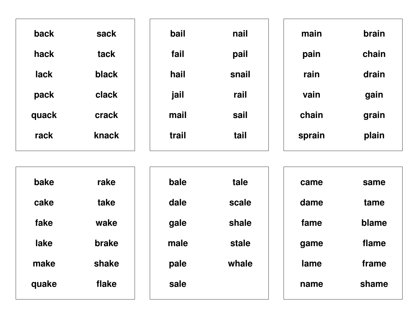| sack  | bail  | nail  | main   | <b>brain</b> |
|-------|-------|-------|--------|--------------|
| tack  | fail  | pail  | pain   | chain        |
| black | hail  | snail | rain   | drain        |
| clack | jail  | rail  | vain   | gain         |
| crack | mail  | sail  | chain  | grain        |
| knack | trail | tail  | sprain | plain        |
|       |       |       |        |              |

| bake  | rake  |
|-------|-------|
| cake  | take  |
| fake  | wake  |
| lake  | brake |
| make  | shake |
| quake | flake |
|       |       |

| bale | tale  |
|------|-------|
| dale | scale |
| gale | shale |
| male | stale |
| pale | whale |
| sale |       |
|      |       |

| came | same  |
|------|-------|
| dame | tame  |
| fame | blame |
| game | flame |
| lame | frame |
| name | shame |
|      |       |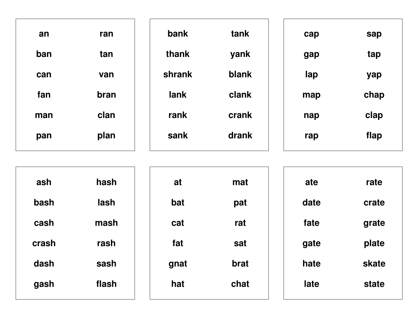| an  | ran  | bank   | tank  | cap | sap  |
|-----|------|--------|-------|-----|------|
| ban | tan  | thank  | yank  | gap | tap  |
| can | van  | shrank | blank | lap | yap  |
| fan | bran | lank   | clank | map | chap |
| man | clan | rank   | crank | nap | clap |
| pan | plan | sank   | drank | rap | flap |

| ash   | hash  | at   | mat  | ate  | rate  |
|-------|-------|------|------|------|-------|
| bash  | lash  | bat  | pat  | date | crate |
| cash  | mash  | cat  | rat  | fate | grate |
| crash | rash  | fat  | sat  | gate | plate |
| dash  | sash  | gnat | brat | hate | skate |
| gash  | flash | hat  | chat | late | state |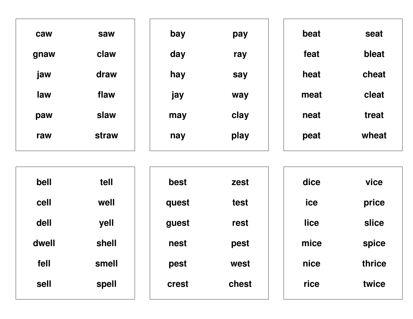| caw  | saw   | bay | pay  | beat | seat  |
|------|-------|-----|------|------|-------|
| gnaw | claw  | day | ray  | feat | bleat |
| jaw  | draw  | hay | say  | heat | cheat |
| law  | flaw  | jay | way  | meat | cleat |
| paw  | slaw  | may | clay | neat | treat |
| raw  | straw | nay | play | peat | wheat |
|      |       |     |      |      |       |

| bell  | tell  | best  | zest  | dice | vice   |
|-------|-------|-------|-------|------|--------|
| cell  | well  | quest | test  | ice  | price  |
| dell  | yell  | guest | rest  | lice | slice  |
| dwell | shell | nest  | pest  | mice | spice  |
| fell  | smell | pest  | west  | nice | thrice |
| sell  | spell | crest | chest | rice | twice  |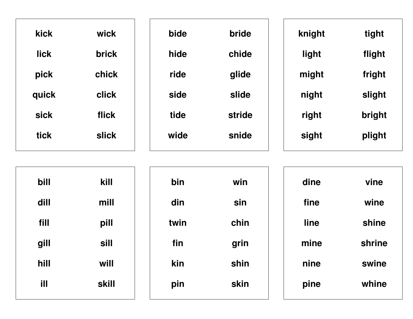| <b>kick</b> | wick         | bide | bride  | knight | tight  |
|-------------|--------------|------|--------|--------|--------|
| <b>lick</b> | <b>brick</b> | hide | chide  | light  | flight |
| pick        | chick        | ride | glide  | might  | fright |
| quick       | click        | side | slide  | night  | slight |
| <b>sick</b> | flick        | tide | stride | right  | bright |
| <b>tick</b> | <b>slick</b> | wide | snide  | sight  | plight |
|             |              |      |        |        |        |

| bill | kill  | bin  | win  | dine | vine   |
|------|-------|------|------|------|--------|
| dill | mill  | din  | sin  | fine | wine   |
| fill | pill  | twin | chin | line | shine  |
| gill | sill  | fin  | grin | mine | shrine |
| hill | will  | kin  | shin | nine | swine  |
| ill  | skill | pin  | skin | pine | whine  |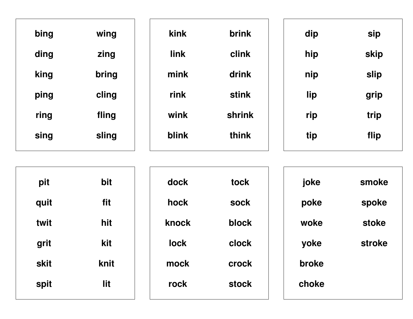| bing | wing  | kink  | brink        | dip | sip  |
|------|-------|-------|--------------|-----|------|
| ding | zing  | link  | clink        | hip | skip |
| king | bring | mink  | drink        | nip | slip |
| ping | cling | rink  | <b>stink</b> | lip | grip |
| ring | fling | wink  | shrink       | rip | trip |
| sing | sling | blink | think        | tip | flip |
|      |       |       |              |     |      |

| pit  | bit  |
|------|------|
| quit | fit  |
| twit | hit  |
| grit | kit  |
| skit | knit |
| spit | lit  |

| dock  | tock  |
|-------|-------|
| hock  | sock  |
| knock | block |
| lock  | clock |
| mock  | crock |
| rock  | stock |

| joke  | smoke  |
|-------|--------|
| poke  | spoke  |
| woke  | stoke  |
| yoke  | stroke |
| broke |        |
| choke |        |
|       |        |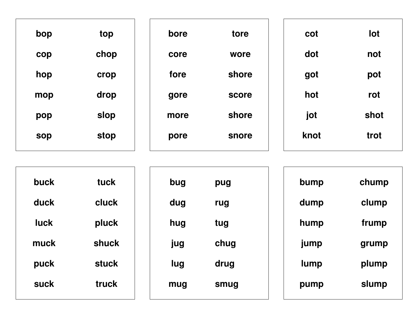| bop        | top  | bore | tore  | cot  | lot  |
|------------|------|------|-------|------|------|
| cop        | chop | core | wore  | dot  | not  |
| hop        | crop | fore | shore | got  | pot  |
| mop        | drop | gore | score | hot  | rot  |
| pop        | slop | more | shore | jot  | shot |
| <b>sop</b> | stop | pore | snore | knot | trot |
|            |      |      |       |      |      |

| buck        | tuck         | bug | pug  | bump | chump |
|-------------|--------------|-----|------|------|-------|
| duck        | cluck        | dug | rug  | dump | clump |
| <b>luck</b> | pluck        | hug | tug  | hump | frump |
| muck        | shuck        | jug | chug | jump | grump |
| puck        | <b>stuck</b> | lug | drug | lump | plump |
| suck        | truck        | mug | smug | pump | slump |